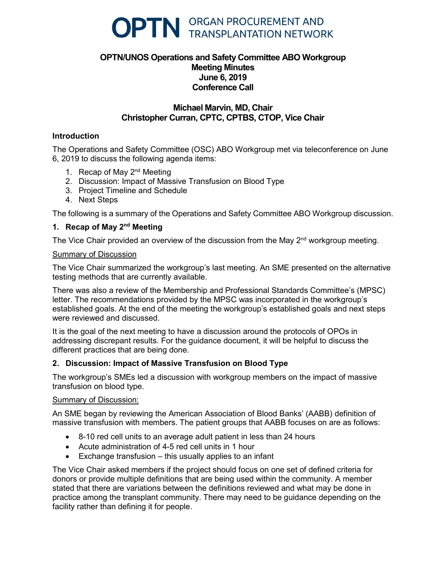

# **OPTN/UNOS Operations and Safety Committee ABO Workgroup Meeting Minutes June 6, 2019 Conference Call**

## **Michael Marvin, MD, Chair Christopher Curran, CPTC, CPTBS, CTOP, Vice Chair**

## **Introduction**

The Operations and Safety Committee (OSC) ABO Workgroup met via teleconference on June 6, 2019 to discuss the following agenda items:

- 1. Recap of May 2<sup>nd</sup> Meeting
- 2. Discussion: Impact of Massive Transfusion on Blood Type
- 3. Project Timeline and Schedule
- 4. Next Steps

The following is a summary of the Operations and Safety Committee ABO Workgroup discussion.

#### **1. Recap of May 2nd Meeting**

The Vice Chair provided an overview of the discussion from the May  $2<sup>nd</sup>$  workgroup meeting.

#### Summary of Discussion

The Vice Chair summarized the workgroup's last meeting. An SME presented on the alternative testing methods that are currently available.

There was also a review of the Membership and Professional Standards Committee's (MPSC) letter. The recommendations provided by the MPSC was incorporated in the workgroup's established goals. At the end of the meeting the workgroup's established goals and next steps were reviewed and discussed.

It is the goal of the next meeting to have a discussion around the protocols of OPOs in addressing discrepant results. For the guidance document, it will be helpful to discuss the different practices that are being done.

#### **2. Discussion: Impact of Massive Transfusion on Blood Type**

The workgroup's SMEs led a discussion with workgroup members on the impact of massive transfusion on blood type.

#### Summary of Discussion:

An SME began by reviewing the American Association of Blood Banks' (AABB) definition of massive transfusion with members. The patient groups that AABB focuses on are as follows:

- 8-10 red cell units to an average adult patient in less than 24 hours
- Acute administration of 4-5 red cell units in 1 hour
- Exchange transfusion this usually applies to an infant

The Vice Chair asked members if the project should focus on one set of defined criteria for donors or provide multiple definitions that are being used within the community. A member stated that there are variations between the definitions reviewed and what may be done in practice among the transplant community. There may need to be guidance depending on the facility rather than defining it for people.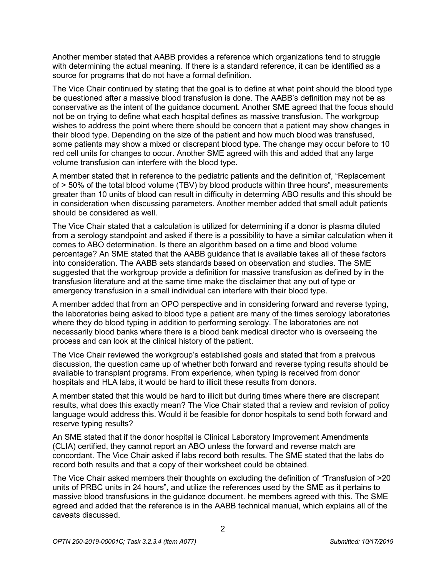Another member stated that AABB provides a reference which organizations tend to struggle with determining the actual meaning. If there is a standard reference, it can be identified as a source for programs that do not have a formal definition.

The Vice Chair continued by stating that the goal is to define at what point should the blood type be questioned after a massive blood transfusion is done. The AABB's definition may not be as conservative as the intent of the guidance document. Another SME agreed that the focus should not be on trying to define what each hospital defines as massive transfusion. The workgroup wishes to address the point where there should be concern that a patient may show changes in their blood type. Depending on the size of the patient and how much blood was transfused, some patients may show a mixed or discrepant blood type. The change may occur before to 10 red cell units for changes to occur. Another SME agreed with this and added that any large volume transfusion can interfere with the blood type.

A member stated that in reference to the pediatric patients and the definition of, "Replacement of > 50% of the total blood volume (TBV) by blood products within three hours", measurements greater than 10 units of blood can result in difficulty in determing ABO results and this should be in consideration when discussing parameters. Another member added that small adult patients should be considered as well.

The Vice Chair stated that a calculation is utilized for determining if a donor is plasma diluted from a serology standpoint and asked if there is a possibility to have a similar calculation when it comes to ABO determination. Is there an algorithm based on a time and blood volume percentage? An SME stated that the AABB guidance that is available takes all of these factors into consideration. The AABB sets standards based on observation and studies. The SME suggested that the workgroup provide a definition for massive transfusion as defined by in the transfusion literature and at the same time make the disclaimer that any out of type or emergency transfusion in a small individual can interfere with their blood type.

A member added that from an OPO perspective and in considering forward and reverse typing, the laboratories being asked to blood type a patient are many of the times serology laboratories where they do blood typing in addition to performing serology. The laboratories are not necessarily blood banks where there is a blood bank medical director who is overseeing the process and can look at the clinical history of the patient.

The Vice Chair reviewed the workgroup's established goals and stated that from a preivous discussion, the question came up of whether both forward and reverse typing results should be available to transplant programs. From experience, when typing is received from donor hospitals and HLA labs, it would be hard to illicit these results from donors.

A member stated that this would be hard to illicit but during times where there are discrepant results, what does this exactly mean? The Vice Chair stated that a review and revision of policy language would address this. Would it be feasible for donor hospitals to send both forward and reserve typing results?

An SME stated that if the donor hospital is Clinical Laboratory Improvement Amendments (CLIA) certified, they cannot report an ABO unless the forward and reverse match are concordant. The Vice Chair asked if labs record both results. The SME stated that the labs do record both results and that a copy of their worksheet could be obtained.

The Vice Chair asked members their thoughts on excluding the definition of "Transfusion of >20 units of PRBC units in 24 hours", and utilize the references used by the SME as it pertains to massive blood transfusions in the guidance document. he members agreed with this. The SME agreed and added that the reference is in the AABB technical manual, which explains all of the caveats discussed.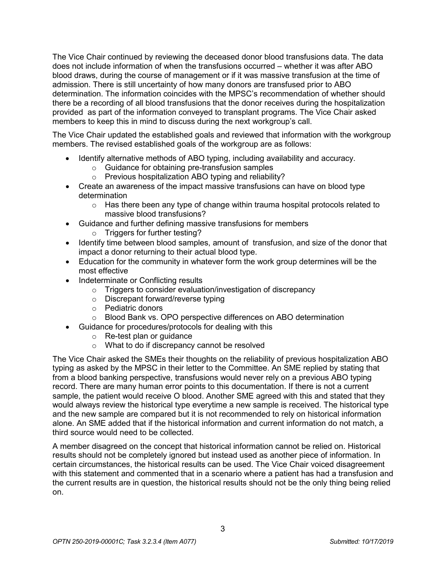The Vice Chair continued by reviewing the deceased donor blood transfusions data. The data does not include information of when the transfusions occurred – whether it was after ABO blood draws, during the course of management or if it was massive transfusion at the time of admission. There is still uncertainty of how many donors are transfused prior to ABO determination. The information coincides with the MPSC's recommendation of whether should there be a recording of all blood transfusions that the donor receives during the hospitalization provided as part of the information conveyed to transplant programs. The Vice Chair asked members to keep this in mind to discuss during the next workgroup's call.

The Vice Chair updated the established goals and reviewed that information with the workgroup members. The revised established goals of the workgroup are as follows:

- Identify alternative methods of ABO typing, including availability and accuracy.
	- o Guidance for obtaining pre-transfusion samples
	- o Previous hospitalization ABO typing and reliability?
- Create an awareness of the impact massive transfusions can have on blood type determination
	- $\circ$  Has there been any type of change within trauma hospital protocols related to massive blood transfusions?
- Guidance and further defining massive transfusions for members
	- o Triggers for further testing?
- Identify time between blood samples, amount of transfusion, and size of the donor that impact a donor returning to their actual blood type.
- Education for the community in whatever form the work group determines will be the most effective
- Indeterminate or Conflicting results
	- o Triggers to consider evaluation/investigation of discrepancy
	- o Discrepant forward/reverse typing
	- o Pediatric donors
	- o Blood Bank vs. OPO perspective differences on ABO determination
- Guidance for procedures/protocols for dealing with this
	- o Re-test plan or guidance
	- o What to do if discrepancy cannot be resolved

The Vice Chair asked the SMEs their thoughts on the reliability of previous hospitalization ABO typing as asked by the MPSC in their letter to the Committee. An SME replied by stating that from a blood banking perspective, transfusions would never rely on a previous ABO typing record. There are many human error points to this documentation. If there is not a current sample, the patient would receive O blood. Another SME agreed with this and stated that they would always review the historical type everytime a new sample is received. The historical type and the new sample are compared but it is not recommended to rely on historical information alone. An SME added that if the historical information and current information do not match, a third source would need to be collected.

A member disagreed on the concept that historical information cannot be relied on. Historical results should not be completely ignored but instead used as another piece of information. In certain circumstances, the historical results can be used. The Vice Chair voiced disagreement with this statement and commented that in a scenario where a patient has had a transfusion and the current results are in question, the historical results should not be the only thing being relied on.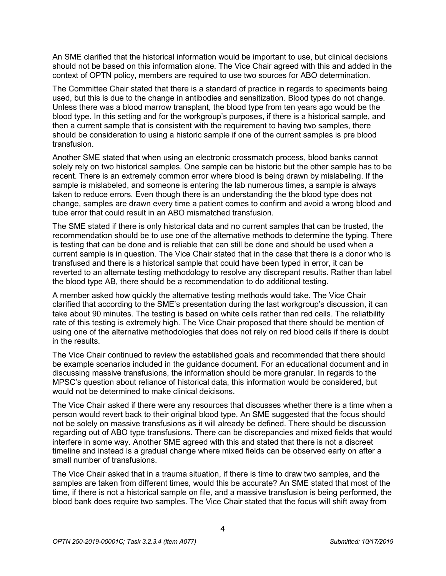An SME clarified that the historical information would be important to use, but clinical decisions should not be based on this information alone. The Vice Chair agreed with this and added in the context of OPTN policy, members are required to use two sources for ABO determination.

The Committee Chair stated that there is a standard of practice in regards to speciments being used, but this is due to the change in antibodies and sensitization. Blood types do not change. Unless there was a blood marrow transplant, the blood type from ten years ago would be the blood type. In this setting and for the workgroup's purposes, if there is a historical sample, and then a current sample that is consistent with the requirement to having two samples, there should be consideration to using a historic sample if one of the current samples is pre blood transfusion.

Another SME stated that when using an electronic crossmatch process, blood banks cannot solely rely on two historical samples. One sample can be historic but the other sample has to be recent. There is an extremely common error where blood is being drawn by mislabeling. If the sample is mislabeled, and someone is entering the lab numerous times, a sample is always taken to reduce errors. Even though there is an understanding the the blood type does not change, samples are drawn every time a patient comes to confirm and avoid a wrong blood and tube error that could result in an ABO mismatched transfusion.

The SME stated if there is only historical data and no current samples that can be trusted, the recommendation should be to use one of the alternative methods to determine the typing. There is testing that can be done and is reliable that can still be done and should be used when a current sample is in question. The Vice Chair stated that in the case that there is a donor who is transfused and there is a historical sample that could have been typed in error, it can be reverted to an alternate testing methodology to resolve any discrepant results. Rather than label the blood type AB, there should be a recommendation to do additional testing.

A member asked how quickly the alternative testing methods would take. The Vice Chair clarified that according to the SME's presentation during the last workgroup's discussion, it can take about 90 minutes. The testing is based on white cells rather than red cells. The reliatbility rate of this testing is extremely high. The Vice Chair proposed that there should be mention of using one of the alternative methodologies that does not rely on red blood cells if there is doubt in the results.

The Vice Chair continued to review the established goals and recommended that there should be example scenarios included in the guidance document. For an educational document and in discussing massive transfusions, the information should be more granular. In regards to the MPSC's question about reliance of historical data, this information would be considered, but would not be determined to make clinical deicisons.

The Vice Chair asked if there were any resources that discusses whether there is a time when a person would revert back to their original blood type. An SME suggested that the focus should not be solely on massive transfusions as it will already be defined. There should be discussion regarding out of ABO type transfusions. There can be discrepancies and mixed fields that would interfere in some way. Another SME agreed with this and stated that there is not a discreet timeline and instead is a gradual change where mixed fields can be observed early on after a small number of transfusions.

The Vice Chair asked that in a trauma situation, if there is time to draw two samples, and the samples are taken from different times, would this be accurate? An SME stated that most of the time, if there is not a historical sample on file, and a massive transfusion is being performed, the blood bank does require two samples. The Vice Chair stated that the focus will shift away from

4